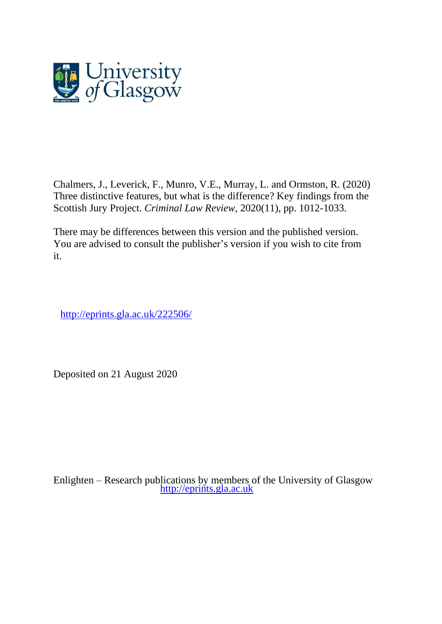

Chalmers, J., Leverick, F., Munro, V.E., Murray, L. and Ormston, R. (2020) Three distinctive features, but what is the difference? Key findings from the Scottish Jury Project. *Criminal Law Review*, 2020(11), pp. 1012-1033.

There may be differences between this version and the published version. You are advised to consult the publisher's version if you wish to cite from it.

<http://eprints.gla.ac.uk/222506/>

Deposited on 21 August 2020

Enlighten – Research publications by members of the University of Glasgow [http://eprints.gla.ac.uk](http://eprints.gla.ac.uk/)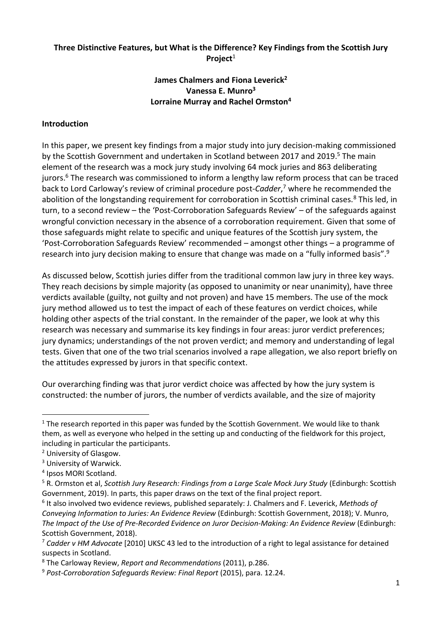### **Three Distinctive Features, but What is the Difference? Key Findings from the Scottish Jury Project**<sup>1</sup>

### **James Chalmers and Fiona Leverick<sup>2</sup> Vanessa E. Munro<sup>3</sup> Lorraine Murray and Rachel Ormston<sup>4</sup>**

#### **Introduction**

In this paper, we present key findings from a major study into jury decision-making commissioned by the Scottish Government and undertaken in Scotland between 2017 and 2019. <sup>5</sup> The main element of the research was a mock jury study involving 64 mock juries and 863 deliberating jurors.<sup>6</sup> The research was commissioned to inform a lengthy law reform process that can be traced back to Lord Carloway's review of criminal procedure post-*Cadder*, <sup>7</sup> where he recommended the abolition of the longstanding requirement for corroboration in Scottish criminal cases.<sup>8</sup> This led, in turn, to a second review – the 'Post-Corroboration Safeguards Review' – of the safeguards against wrongful conviction necessary in the absence of a corroboration requirement. Given that some of those safeguards might relate to specific and unique features of the Scottish jury system, the 'Post-Corroboration Safeguards Review' recommended – amongst other things – a programme of research into jury decision making to ensure that change was made on a "fully informed basis".<sup>9</sup>

As discussed below, Scottish juries differ from the traditional common law jury in three key ways. They reach decisions by simple majority (as opposed to unanimity or near unanimity), have three verdicts available (guilty, not guilty and not proven) and have 15 members. The use of the mock jury method allowed us to test the impact of each of these features on verdict choices, while holding other aspects of the trial constant. In the remainder of the paper, we look at why this research was necessary and summarise its key findings in four areas: juror verdict preferences; jury dynamics; understandings of the not proven verdict; and memory and understanding of legal tests. Given that one of the two trial scenarios involved a rape allegation, we also report briefly on the attitudes expressed by jurors in that specific context.

Our overarching finding was that juror verdict choice was affected by how the jury system is constructed: the number of jurors, the number of verdicts available, and the size of majority

 $1$  The research reported in this paper was funded by the Scottish Government. We would like to thank them, as well as everyone who helped in the setting up and conducting of the fieldwork for this project, including in particular the participants.

<sup>2</sup> University of Glasgow.

<sup>&</sup>lt;sup>3</sup> University of Warwick.

<sup>4</sup> Ipsos MORI Scotland.

<sup>5</sup> R. Ormston et al, *Scottish Jury Research: Findings from a Large Scale Mock Jury Study* (Edinburgh: Scottish Government, 2019). In parts, this paper draws on the text of the final project report.

<sup>6</sup> It also involved two evidence reviews, published separately: J. Chalmers and F. Leverick, *[Methods of](https://www.gov.scot/publications/methods-conveying-information-jurors-evidence-review/)  [Conveying Information to Juries: An Evidence Review](https://www.gov.scot/publications/methods-conveying-information-jurors-evidence-review/)* (Edinburgh: Scottish Government, 2018); V. Munro, *[The Impact of the Use of Pre-Recorded Evidence on Juror Decision-Making: An Evidence Review](https://www.gov.scot/publications/impact-use-pre-recorded-evidence-juror-decision-making-evidence-review/)* (Edinburgh: Scottish Government, 2018).

<sup>7</sup> *Cadder v HM Advocate* [2010] UKSC 43 led to the introduction of a right to legal assistance for detained suspects in Scotland.

<sup>8</sup> The Carloway Review, *Report and Recommendations* (2011), p.286.

<sup>9</sup> *Post-Corroboration Safeguards Review: Final Report* (2015), para. 12.24.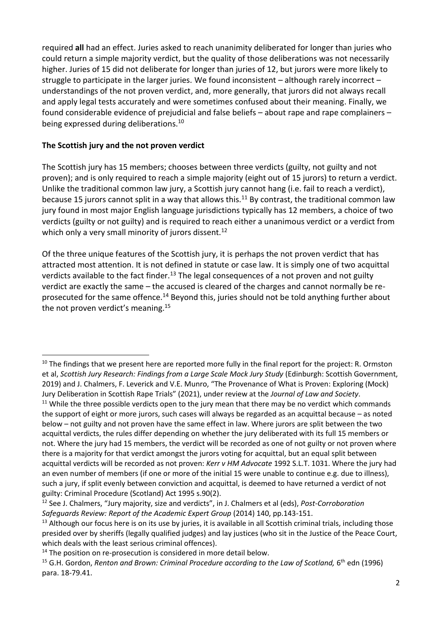required **all** had an effect. Juries asked to reach unanimity deliberated for longer than juries who could return a simple majority verdict, but the quality of those deliberations was not necessarily higher. Juries of 15 did not deliberate for longer than juries of 12, but jurors were more likely to struggle to participate in the larger juries. We found inconsistent – although rarely incorrect – understandings of the not proven verdict, and, more generally, that jurors did not always recall and apply legal tests accurately and were sometimes confused about their meaning. Finally, we found considerable evidence of prejudicial and false beliefs – about rape and rape complainers – being expressed during deliberations.<sup>10</sup>

## **The Scottish jury and the not proven verdict**

The Scottish jury has 15 members; chooses between three verdicts (guilty, not guilty and not proven); and is only required to reach a simple majority (eight out of 15 jurors) to return a verdict. Unlike the traditional common law jury, a Scottish jury cannot hang (i.e. fail to reach a verdict), because 15 jurors cannot split in a way that allows this.<sup>11</sup> By contrast, the traditional common law jury found in most major English language jurisdictions typically has 12 members, a choice of two verdicts (guilty or not guilty) and is required to reach either a unanimous verdict or a verdict from which only a very small minority of jurors dissent.<sup>12</sup>

Of the three unique features of the Scottish jury, it is perhaps the not proven verdict that has attracted most attention. It is not defined in statute or case law. It is simply one of two acquittal verdicts available to the fact finder.<sup>13</sup> The legal consequences of a not proven and not guilty verdict are exactly the same – the accused is cleared of the charges and cannot normally be reprosecuted for the same offence.<sup>14</sup> Beyond this, juries should not be told anything further about the not proven verdict's meaning.<sup>15</sup>

 $10$  The findings that we present here are reported more fully in the final report for the project: R. Ormston et al, *Scottish Jury Research: Findings from a Large Scale Mock Jury Study* (Edinburgh: Scottish Government, 2019) and J. Chalmers, F. Leverick and V.E. Munro, "The Provenance of What is Proven: Exploring (Mock) Jury Deliberation in Scottish Rape Trials" (2021), under review at the *Journal of Law and Society*.

<sup>&</sup>lt;sup>11</sup> While the three possible verdicts open to the jury mean that there may be no verdict which commands the support of eight or more jurors, such cases will always be regarded as an acquittal because – as noted below – not guilty and not proven have the same effect in law. Where jurors are split between the two acquittal verdicts, the rules differ depending on whether the jury deliberated with its full 15 members or not. Where the jury had 15 members, the verdict will be recorded as one of not guilty or not proven where there is a majority for that verdict amongst the jurors voting for acquittal, but an equal split between acquittal verdicts will be recorded as not proven: *Kerr v HM Advocate* 1992 S.L.T. 1031. Where the jury had an even number of members (if one or more of the initial 15 were unable to continue e.g. due to illness), such a jury, if split evenly between conviction and acquittal, is deemed to have returned a verdict of not guilty: Criminal Procedure (Scotland) Act 1995 s.90(2).

<sup>12</sup> See J. Chalmers, "Jury majority, size and verdicts", in J. Chalmers et al (eds), *Post-Corroboration Safeguards Review: Report of the Academic Expert Group* (2014) 140, pp.143-151.

 $13$  Although our focus here is on its use by juries, it is available in all Scottish criminal trials, including those presided over by sheriffs (legally qualified judges) and lay justices (who sit in the Justice of the Peace Court, which deals with the least serious criminal offences).

<sup>&</sup>lt;sup>14</sup> The position on re-prosecution is considered in more detail below.

<sup>&</sup>lt;sup>15</sup> G.H. Gordon, Renton and Brown: Criminal Procedure according to the Law of Scotland, 6<sup>th</sup> edn (1996) para. 18-79.41.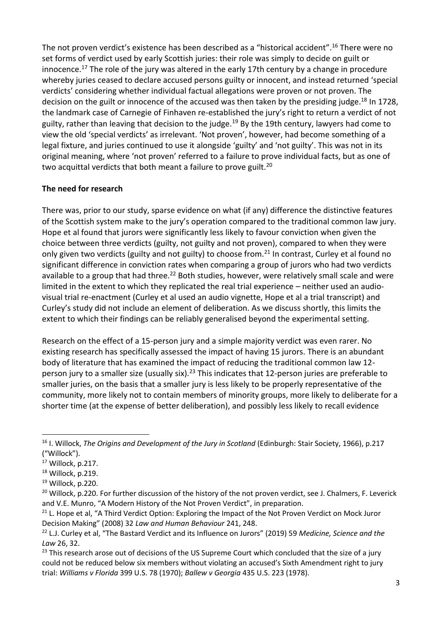The not proven verdict's existence has been described as a "historical accident".<sup>16</sup> There were no set forms of verdict used by early Scottish juries: their role was simply to decide on guilt or innocence.<sup>17</sup> The role of the jury was altered in the early 17th century by a change in procedure whereby juries ceased to declare accused persons guilty or innocent, and instead returned 'special verdicts' considering whether individual factual allegations were proven or not proven. The decision on the guilt or innocence of the accused was then taken by the presiding judge.<sup>18</sup> In 1728, the landmark case of Carnegie of Finhaven re-established the jury's right to return a verdict of not guilty, rather than leaving that decision to the judge.<sup>19</sup> By the 19th century, lawyers had come to view the old 'special verdicts' as irrelevant. 'Not proven', however, had become something of a legal fixture, and juries continued to use it alongside 'guilty' and 'not guilty'. This was not in its original meaning, where 'not proven' referred to a failure to prove individual facts, but as one of two acquittal verdicts that both meant a failure to prove guilt.<sup>20</sup>

## **The need for research**

There was, prior to our study, sparse evidence on what (if any) difference the distinctive features of the Scottish system make to the jury's operation compared to the traditional common law jury. Hope et al found that jurors were significantly less likely to favour conviction when given the choice between three verdicts (guilty, not guilty and not proven), compared to when they were only given two verdicts (guilty and not guilty) to choose from.<sup>21</sup> In contrast, Curley et al found no significant difference in conviction rates when comparing a group of jurors who had two verdicts available to a group that had three.<sup>22</sup> Both studies, however, were relatively small scale and were limited in the extent to which they replicated the real trial experience – neither used an audiovisual trial re-enactment (Curley et al used an audio vignette, Hope et al a trial transcript) and Curley's study did not include an element of deliberation. As we discuss shortly, this limits the extent to which their findings can be reliably generalised beyond the experimental setting.

Research on the effect of a 15-person jury and a simple majority verdict was even rarer. No existing research has specifically assessed the impact of having 15 jurors. There is an abundant body of literature that has examined the impact of reducing the traditional common law 12 person jury to a smaller size (usually six).<sup>23</sup> This indicates that 12-person juries are preferable to smaller juries, on the basis that a smaller jury is less likely to be properly representative of the community, more likely not to contain members of minority groups, more likely to deliberate for a shorter time (at the expense of better deliberation), and possibly less likely to recall evidence

<sup>16</sup> I. Willock, *The Origins and Development of the Jury in Scotland* (Edinburgh: Stair Society, 1966), p.217 ("Willock").

 $17$  Willock, p.217.

<sup>&</sup>lt;sup>18</sup> Willock, p.219.

 $19$  Willock, p.220.

<sup>&</sup>lt;sup>20</sup> Willock, p.220. For further discussion of the history of the not proven verdict, see J. Chalmers, F. Leverick and V.E. Munro, "A Modern History of the Not Proven Verdict", in preparation.

<sup>&</sup>lt;sup>21</sup> L. Hope et al, "A Third Verdict Option: Exploring the Impact of the Not Proven Verdict on Mock Juror Decision Making" (2008) 32 *Law and Human Behaviour* 241, 248.

<sup>22</sup> L.J. Curley et al, "The Bastard Verdict and its Influence on Jurors" (2019) 59 *Medicine, Science and the Law* 26, 32.

<sup>&</sup>lt;sup>23</sup> This research arose out of decisions of the US Supreme Court which concluded that the size of a jury could not be reduced below six members without violating an accused's Sixth Amendment right to jury trial: *Williams v Florida* 399 U.S. 78 (1970); *Ballew v Georgia* 435 U.S. 223 (1978).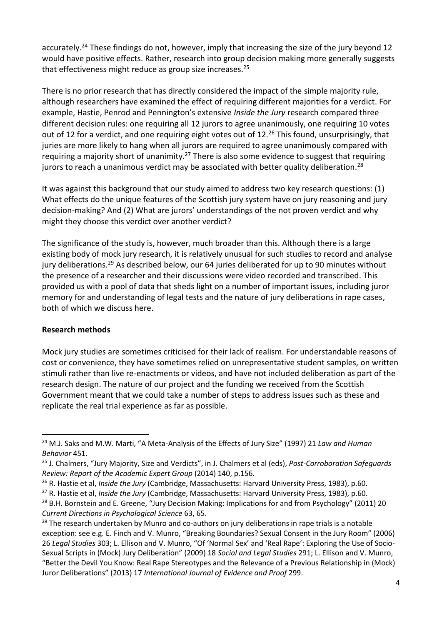accurately.<sup>24</sup> These findings do not, however, imply that increasing the size of the jury beyond 12 would have positive effects. Rather, research into group decision making more generally suggests that effectiveness might reduce as group size increases. 25

There is no prior research that has directly considered the impact of the simple majority rule, although researchers have examined the effect of requiring different majorities for a verdict. For example, Hastie, Penrod and Pennington's extensive *Inside the Jury* research compared three different decision rules: one requiring all 12 jurors to agree unanimously, one requiring 10 votes out of 12 for a verdict, and one requiring eight votes out of 12.<sup>26</sup> This found, unsurprisingly, that juries are more likely to hang when all jurors are required to agree unanimously compared with requiring a majority short of unanimity.<sup>27</sup> There is also some evidence to suggest that requiring jurors to reach a unanimous verdict may be associated with better quality deliberation.<sup>28</sup>

It was against this background that our study aimed to address two key research questions: (1) What effects do the unique features of the Scottish jury system have on jury reasoning and jury decision-making? And (2) What are jurors' understandings of the not proven verdict and why might they choose this verdict over another verdict?

The significance of the study is, however, much broader than this. Although there is a large existing body of mock jury research, it is relatively unusual for such studies to record and analyse jury deliberations.<sup>29</sup> As described below, our 64 juries deliberated for up to 90 minutes without the presence of a researcher and their discussions were video recorded and transcribed. This provided us with a pool of data that sheds light on a number of important issues, including juror memory for and understanding of legal tests and the nature of jury deliberations in rape cases, both of which we discuss here.

### **Research methods**

Mock jury studies are sometimes criticised for their lack of realism. For understandable reasons of cost or convenience, they have sometimes relied on unrepresentative student samples, on written stimuli rather than live re-enactments or videos, and have not included deliberation as part of the research design. The nature of our project and the funding we received from the Scottish Government meant that we could take a number of steps to address issues such as these and replicate the real trial experience as far as possible.

Juror Deliberations" (2013) 17 *International Journal of Evidence and Proof* 299.

<sup>24</sup> M.J. Saks and M.W. Marti, "A Meta-Analysis of the Effects of Jury Size" (1997) 21 *Law and Human Behavior* 451.

<sup>25</sup> J. Chalmers, "Jury Majority, Size and Verdicts", in J. Chalmers et al (eds), *Post-Corroboration Safeguards Review: Report of the Academic Expert Group* (2014) 140, p.156.

<sup>26</sup> R. Hastie et al, *Inside the Jury* (Cambridge, Massachusetts: Harvard University Press, 1983), p.60.

<sup>27</sup> R. Hastie et al, *Inside the Jury* (Cambridge, Massachusetts: Harvard University Press, 1983), p.60.

<sup>&</sup>lt;sup>28</sup> B.H. Bornstein and E. Greene, "Jury Decision Making: Implications for and from Psychology" (2011) 20 *Current Directions in Psychological Science* 63, 65.

 $29$  The research undertaken by Munro and co-authors on jury deliberations in rape trials is a notable exception: see e.g. E. Finch and V. Munro, "Breaking Boundaries? Sexual Consent in the Jury Room" (2006) 26 *Legal Studies* 303; L. Ellison and V. Munro, "Of 'Normal Sex' and 'Real Rape': Exploring the Use of Socio-Sexual Scripts in (Mock) Jury Deliberation" (2009) 18 *Social and Legal Studies* 291; L. Ellison and V. Munro, "Better the Devil You Know: Real Rape Stereotypes and the Relevance of a Previous Relationship in (Mock)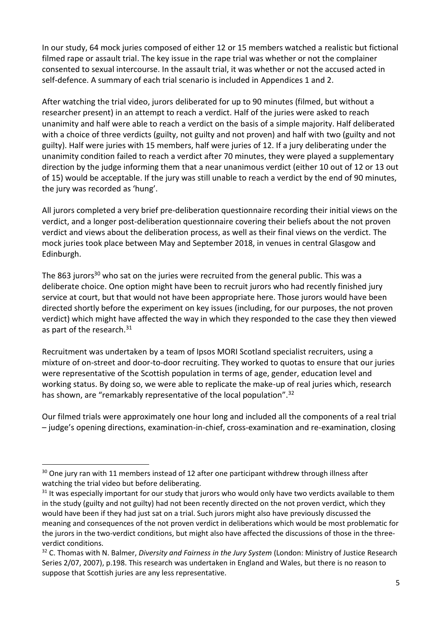In our study, 64 mock juries composed of either 12 or 15 members watched a realistic but fictional filmed rape or assault trial. The key issue in the rape trial was whether or not the complainer consented to sexual intercourse. In the assault trial, it was whether or not the accused acted in self-defence. A summary of each trial scenario is included in Appendices 1 and 2.

After watching the trial video, jurors deliberated for up to 90 minutes (filmed, but without a researcher present) in an attempt to reach a verdict. Half of the juries were asked to reach unanimity and half were able to reach a verdict on the basis of a simple majority. Half deliberated with a choice of three verdicts (guilty, not guilty and not proven) and half with two (guilty and not guilty). Half were juries with 15 members, half were juries of 12. If a jury deliberating under the unanimity condition failed to reach a verdict after 70 minutes, they were played a supplementary direction by the judge informing them that a near unanimous verdict (either 10 out of 12 or 13 out of 15) would be acceptable. If the jury was still unable to reach a verdict by the end of 90 minutes, the jury was recorded as 'hung'.

All jurors completed a very brief pre-deliberation questionnaire recording their initial views on the verdict, and a longer post-deliberation questionnaire covering their beliefs about the not proven verdict and views about the deliberation process, as well as their final views on the verdict. The mock juries took place between May and September 2018, in venues in central Glasgow and Edinburgh.

The 863 jurors<sup>30</sup> who sat on the juries were recruited from the general public. This was a deliberate choice. One option might have been to recruit jurors who had recently finished jury service at court, but that would not have been appropriate here. Those jurors would have been directed shortly before the experiment on key issues (including, for our purposes, the not proven verdict) which might have affected the way in which they responded to the case they then viewed as part of the research.<sup>31</sup>

Recruitment was undertaken by a team of Ipsos MORI Scotland specialist recruiters, using a mixture of on-street and door-to-door recruiting. They worked to quotas to ensure that our juries were representative of the Scottish population in terms of age, gender, education level and working status. By doing so, we were able to replicate the make-up of real juries which, research has shown, are "remarkably representative of the local population".<sup>32</sup>

Our filmed trials were approximately one hour long and included all the components of a real trial – judge's opening directions, examination-in-chief, cross-examination and re-examination, closing

<sup>&</sup>lt;sup>30</sup> One jury ran with 11 members instead of 12 after one participant withdrew through illness after watching the trial video but before deliberating.

 $31$  It was especially important for our study that jurors who would only have two verdicts available to them in the study (guilty and not guilty) had not been recently directed on the not proven verdict, which they would have been if they had just sat on a trial. Such jurors might also have previously discussed the meaning and consequences of the not proven verdict in deliberations which would be most problematic for the jurors in the two-verdict conditions, but might also have affected the discussions of those in the threeverdict conditions.

<sup>32</sup> C. Thomas with N. Balmer, *Diversity and Fairness in the Jury System* (London: Ministry of Justice Research Series 2/07, 2007), p.198. This research was undertaken in England and Wales, but there is no reason to suppose that Scottish juries are any less representative.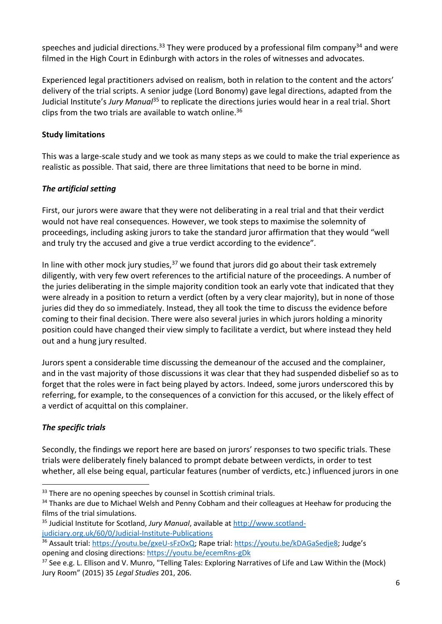speeches and judicial directions.<sup>33</sup> They were produced by a professional film company<sup>34</sup> and were filmed in the High Court in Edinburgh with actors in the roles of witnesses and advocates.

Experienced legal practitioners advised on realism, both in relation to the content and the actors' delivery of the trial scripts. A senior judge (Lord Bonomy) gave legal directions, adapted from the Judicial Institute's *Jury Manual*<sup>35</sup> to replicate the directions juries would hear in a real trial. Short clips from the two trials are available to watch online. 36

## **Study limitations**

This was a large-scale study and we took as many steps as we could to make the trial experience as realistic as possible. That said, there are three limitations that need to be borne in mind.

## *The artificial setting*

First, our jurors were aware that they were not deliberating in a real trial and that their verdict would not have real consequences. However, we took steps to maximise the solemnity of proceedings, including asking jurors to take the standard juror affirmation that they would "well and truly try the accused and give a true verdict according to the evidence".

In line with other mock jury studies,  $37$  we found that jurors did go about their task extremely diligently, with very few overt references to the artificial nature of the proceedings. A number of the juries deliberating in the simple majority condition took an early vote that indicated that they were already in a position to return a verdict (often by a very clear majority), but in none of those juries did they do so immediately. Instead, they all took the time to discuss the evidence before coming to their final decision. There were also several juries in which jurors holding a minority position could have changed their view simply to facilitate a verdict, but where instead they held out and a hung jury resulted.

Jurors spent a considerable time discussing the demeanour of the accused and the complainer, and in the vast majority of those discussions it was clear that they had suspended disbelief so as to forget that the roles were in fact being played by actors. Indeed, some jurors underscored this by referring, for example, to the consequences of a conviction for this accused, or the likely effect of a verdict of acquittal on this complainer.

# *The specific trials*

Secondly, the findings we report here are based on jurors' responses to two specific trials. These trials were deliberately finely balanced to prompt debate between verdicts, in order to test whether, all else being equal, particular features (number of verdicts, etc.) influenced jurors in one

<sup>&</sup>lt;sup>33</sup> There are no opening speeches by counsel in Scottish criminal trials.

<sup>&</sup>lt;sup>34</sup> Thanks are due to Michael Welsh and Penny Cobham and their colleagues at Heehaw for producing the films of the trial simulations.

<sup>35</sup> Judicial Institute for Scotland, *Jury Manual*, available at [http://www.scotland](http://www.scotland-judiciary.org.uk/60/0/Judicial-Institute-Publications)[judiciary.org.uk/60/0/Judicial-Institute-Publications](http://www.scotland-judiciary.org.uk/60/0/Judicial-Institute-Publications)

<sup>36</sup> Assault trial: [https://youtu.be/gxeU-sFzOxQ;](https://youtu.be/gxeU-sFzOxQ) Rape trial:<https://youtu.be/kDAGaSedje8>; Judge's opening and closing directions:<https://youtu.be/ecemRns-gDk>

<sup>&</sup>lt;sup>37</sup> See e.g. L. Ellison and V. Munro, "Telling Tales: Exploring Narratives of Life and Law Within the (Mock) Jury Room" (2015) 35 *Legal Studies* 201, 206.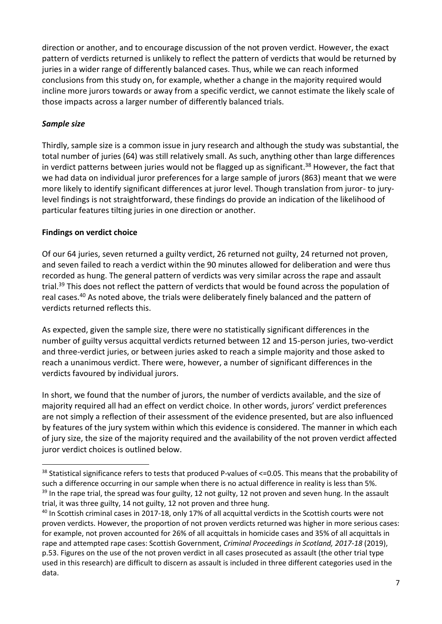direction or another, and to encourage discussion of the not proven verdict. However, the exact pattern of verdicts returned is unlikely to reflect the pattern of verdicts that would be returned by juries in a wider range of differently balanced cases. Thus, while we can reach informed conclusions from this study on, for example, whether a change in the majority required would incline more jurors towards or away from a specific verdict, we cannot estimate the likely scale of those impacts across a larger number of differently balanced trials.

## *Sample size*

Thirdly, sample size is a common issue in jury research and although the study was substantial, the total number of juries (64) was still relatively small. As such, anything other than large differences in verdict patterns between juries would not be flagged up as significant.<sup>38</sup> However, the fact that we had data on individual juror preferences for a large sample of jurors (863) meant that we were more likely to identify significant differences at juror level. Though translation from juror- to jurylevel findings is not straightforward, these findings do provide an indication of the likelihood of particular features tilting juries in one direction or another.

## **Findings on verdict choice**

Of our 64 juries, seven returned a guilty verdict, 26 returned not guilty, 24 returned not proven, and seven failed to reach a verdict within the 90 minutes allowed for deliberation and were thus recorded as hung. The general pattern of verdicts was very similar across the rape and assault trial.<sup>39</sup> This does not reflect the pattern of verdicts that would be found across the population of real cases.<sup>40</sup> As noted above, the trials were deliberately finely balanced and the pattern of verdicts returned reflects this.

As expected, given the sample size, there were no statistically significant differences in the number of guilty versus acquittal verdicts returned between 12 and 15-person juries, two-verdict and three-verdict juries, or between juries asked to reach a simple majority and those asked to reach a unanimous verdict. There were, however, a number of significant differences in the verdicts favoured by individual jurors.

In short, we found that the number of jurors, the number of verdicts available, and the size of majority required all had an effect on verdict choice. In other words, jurors' verdict preferences are not simply a reflection of their assessment of the evidence presented, but are also influenced by features of the jury system within which this evidence is considered. The manner in which each of jury size, the size of the majority required and the availability of the not proven verdict affected juror verdict choices is outlined below.

<sup>&</sup>lt;sup>38</sup> Statistical significance refers to tests that produced P-values of <=0.05. This means that the probability of such a difference occurring in our sample when there is no actual difference in reality is less than 5%.  $39$  In the rape trial, the spread was four guilty, 12 not guilty, 12 not proven and seven hung. In the assault trial, it was three guilty, 14 not guilty, 12 not proven and three hung.

<sup>&</sup>lt;sup>40</sup> In Scottish criminal cases in 2017-18, only 17% of all acquittal verdicts in the Scottish courts were not proven verdicts. However, the proportion of not proven verdicts returned was higher in more serious cases: for example, not proven accounted for 26% of all acquittals in homicide cases and 35% of all acquittals in rape and attempted rape cases: Scottish Government, *Criminal Proceedings in Scotland, 2017-18* (2019), p.53. Figures on the use of the not proven verdict in all cases prosecuted as assault (the other trial type used in this research) are difficult to discern as assault is included in three different categories used in the data.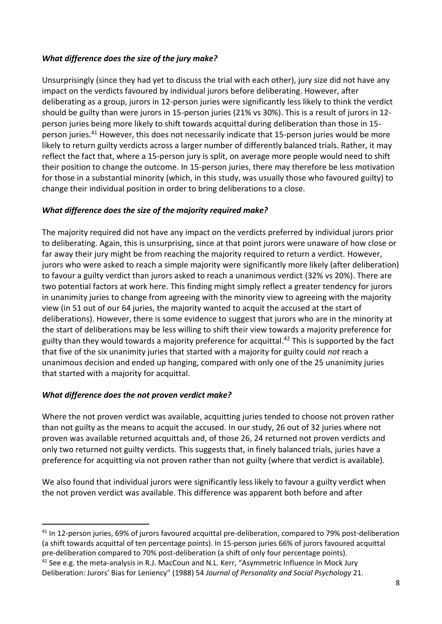## *What difference does the size of the jury make?*

Unsurprisingly (since they had yet to discuss the trial with each other), jury size did not have any impact on the verdicts favoured by individual jurors before deliberating. However, after deliberating as a group, jurors in 12-person juries were significantly less likely to think the verdict should be guilty than were jurors in 15-person juries (21% vs 30%). This is a result of jurors in 12 person juries being more likely to shift towards acquittal during deliberation than those in 15 person juries.<sup>41</sup> However, this does not necessarily indicate that 15-person juries would be more likely to return guilty verdicts across a larger number of differently balanced trials. Rather, it may reflect the fact that, where a 15-person jury is split, on average more people would need to shift their position to change the outcome. In 15-person juries, there may therefore be less motivation for those in a substantial minority (which, in this study, was usually those who favoured guilty) to change their individual position in order to bring deliberations to a close.

## *What difference does the size of the majority required make?*

The majority required did not have any impact on the verdicts preferred by individual jurors prior to deliberating. Again, this is unsurprising, since at that point jurors were unaware of how close or far away their jury might be from reaching the majority required to return a verdict. However, jurors who were asked to reach a simple majority were significantly more likely (after deliberation) to favour a guilty verdict than jurors asked to reach a unanimous verdict (32% vs 20%). There are two potential factors at work here. This finding might simply reflect a greater tendency for jurors in unanimity juries to change from agreeing with the minority view to agreeing with the majority view (in 51 out of our 64 juries, the majority wanted to acquit the accused at the start of deliberations). However, there is some evidence to suggest that jurors who are in the minority at the start of deliberations may be less willing to shift their view towards a majority preference for guilty than they would towards a majority preference for acquittal. <sup>42</sup> This is supported by the fact that five of the six unanimity juries that started with a majority for guilty could *not* reach a unanimous decision and ended up hanging, compared with only one of the 25 unanimity juries that started with a majority for acquittal.

### *What difference does the not proven verdict make?*

Where the not proven verdict was available, acquitting juries tended to choose not proven rather than not guilty as the means to acquit the accused. In our study, 26 out of 32 juries where not proven was available returned acquittals and, of those 26, 24 returned not proven verdicts and only two returned not guilty verdicts. This suggests that, in finely balanced trials, juries have a preference for acquitting via not proven rather than not guilty (where that verdict is available).

We also found that individual jurors were significantly less likely to favour a guilty verdict when the not proven verdict was available. This difference was apparent both before and after

<sup>41</sup> In 12-person juries, 69% of jurors favoured acquittal pre-deliberation, compared to 79% post-deliberation (a shift towards acquittal of ten percentage points). In 15-person juries 66% of jurors favoured acquittal pre-deliberation compared to 70% post-deliberation (a shift of only four percentage points).

 $42$  See e.g. the meta-analysis in R.J. MacCoun and N.L. Kerr, "Asymmetric Influence in Mock Jury Deliberation: Jurors' Bias for Leniency" (1988) 54 *Journal of Personality and Social Psychology* 21.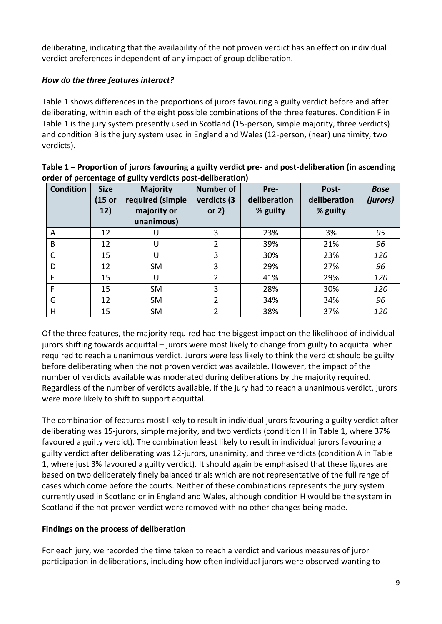deliberating, indicating that the availability of the not proven verdict has an effect on individual verdict preferences independent of any impact of group deliberation.

# *How do the three features interact?*

Table 1 shows differences in the proportions of jurors favouring a guilty verdict before and after deliberating, within each of the eight possible combinations of the three features. Condition F in Table 1 is the jury system presently used in Scotland (15-person, simple majority, three verdicts) and condition B is the jury system used in England and Wales (12-person, (near) unanimity, two verdicts).

| <b>Condition</b> | <b>Size</b><br>(15 or<br>12) | <b>Majority</b><br>required (simple<br>majority or<br>unanimous) | <b>Number of</b><br>verdicts (3<br>or $2)$ | Pre-<br>deliberation<br>% guilty | Post-<br>deliberation<br>% guilty | <b>Base</b><br>(jurors) |
|------------------|------------------------------|------------------------------------------------------------------|--------------------------------------------|----------------------------------|-----------------------------------|-------------------------|
| A                | 12                           |                                                                  | 3                                          | 23%                              | 3%                                | 95                      |
| B                | 12                           | U                                                                | 2                                          | 39%                              | 21%                               | 96                      |
|                  | 15                           | U                                                                | 3                                          | 30%                              | 23%                               | 120                     |
| D                | 12                           | <b>SM</b>                                                        | 3                                          | 29%                              | 27%                               | 96                      |
| E                | 15                           | U                                                                | $\overline{2}$                             | 41%                              | 29%                               | 120                     |
| F                | 15                           | <b>SM</b>                                                        | 3                                          | 28%                              | 30%                               | 120                     |
| G                | 12                           | <b>SM</b>                                                        | 2                                          | 34%                              | 34%                               | 96                      |
| H                | 15                           | <b>SM</b>                                                        | 2                                          | 38%                              | 37%                               | 120                     |

| Table 1 – Proportion of jurors favouring a guilty verdict pre- and post-deliberation (in ascending |
|----------------------------------------------------------------------------------------------------|
| order of percentage of guilty verdicts post-deliberation)                                          |

Of the three features, the majority required had the biggest impact on the likelihood of individual jurors shifting towards acquittal – jurors were most likely to change from guilty to acquittal when required to reach a unanimous verdict. Jurors were less likely to think the verdict should be guilty before deliberating when the not proven verdict was available. However, the impact of the number of verdicts available was moderated during deliberations by the majority required. Regardless of the number of verdicts available, if the jury had to reach a unanimous verdict, jurors were more likely to shift to support acquittal.

The combination of features most likely to result in individual jurors favouring a guilty verdict after deliberating was 15-jurors, simple majority, and two verdicts (condition H in Table 1, where 37% favoured a guilty verdict). The combination least likely to result in individual jurors favouring a guilty verdict after deliberating was 12-jurors, unanimity, and three verdicts (condition A in Table 1, where just 3% favoured a guilty verdict). It should again be emphasised that these figures are based on two deliberately finely balanced trials which are not representative of the full range of cases which come before the courts. Neither of these combinations represents the jury system currently used in Scotland or in England and Wales, although condition H would be the system in Scotland if the not proven verdict were removed with no other changes being made.

# **Findings on the process of deliberation**

For each jury, we recorded the time taken to reach a verdict and various measures of juror participation in deliberations, including how often individual jurors were observed wanting to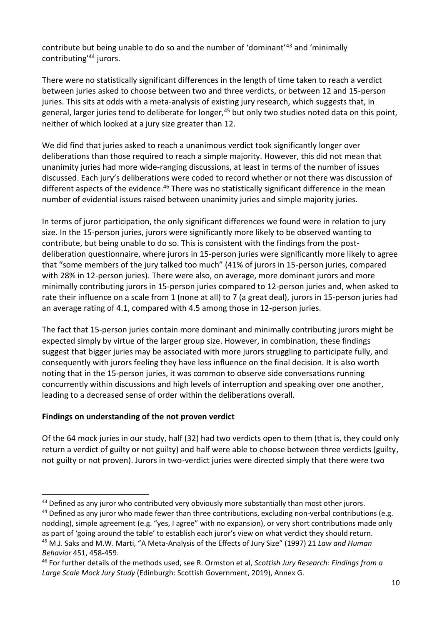contribute but being unable to do so and the number of 'dominant'<sup>43</sup> and 'minimally contributing'<sup>44</sup> jurors.

There were no statistically significant differences in the length of time taken to reach a verdict between juries asked to choose between two and three verdicts, or between 12 and 15-person juries. This sits at odds with a meta-analysis of existing jury research, which suggests that, in general, larger juries tend to deliberate for longer,<sup>45</sup> but only two studies noted data on this point, neither of which looked at a jury size greater than 12.

We did find that juries asked to reach a unanimous verdict took significantly longer over deliberations than those required to reach a simple majority. However, this did not mean that unanimity juries had more wide-ranging discussions, at least in terms of the number of issues discussed. Each jury's deliberations were coded to record whether or not there was discussion of different aspects of the evidence.<sup>46</sup> There was no statistically significant difference in the mean number of evidential issues raised between unanimity juries and simple majority juries.

In terms of juror participation, the only significant differences we found were in relation to jury size. In the 15-person juries, jurors were significantly more likely to be observed wanting to contribute, but being unable to do so. This is consistent with the findings from the postdeliberation questionnaire, where jurors in 15-person juries were significantly more likely to agree that "some members of the jury talked too much" (41% of jurors in 15-person juries, compared with 28% in 12-person juries). There were also, on average, more dominant jurors and more minimally contributing jurors in 15-person juries compared to 12-person juries and, when asked to rate their influence on a scale from 1 (none at all) to 7 (a great deal), jurors in 15-person juries had an average rating of 4.1, compared with 4.5 among those in 12-person juries.

The fact that 15-person juries contain more dominant and minimally contributing jurors might be expected simply by virtue of the larger group size. However, in combination, these findings suggest that bigger juries may be associated with more jurors struggling to participate fully, and consequently with jurors feeling they have less influence on the final decision. It is also worth noting that in the 15-person juries, it was common to observe side conversations running concurrently within discussions and high levels of interruption and speaking over one another, leading to a decreased sense of order within the deliberations overall.

# **Findings on understanding of the not proven verdict**

Of the 64 mock juries in our study, half (32) had two verdicts open to them (that is, they could only return a verdict of guilty or not guilty) and half were able to choose between three verdicts (guilty, not guilty or not proven). Jurors in two-verdict juries were directed simply that there were two

<sup>&</sup>lt;sup>43</sup> Defined as any juror who contributed very obviously more substantially than most other jurors.

<sup>&</sup>lt;sup>44</sup> Defined as any juror who made fewer than three contributions, excluding non-verbal contributions (e.g. nodding), simple agreement (e.g. "yes, I agree" with no expansion), or very short contributions made only as part of 'going around the table' to establish each juror's view on what verdict they should return. <sup>45</sup> M.J. Saks and M.W. Marti, "A Meta-Analysis of the Effects of Jury Size" (1997) 21 *Law and Human Behavior* 451, 458-459.

<sup>46</sup> For further details of the methods used, see R. Ormston et al, *Scottish Jury Research: Findings from a Large Scale Mock Jury Study* (Edinburgh: Scottish Government, 2019), Annex G.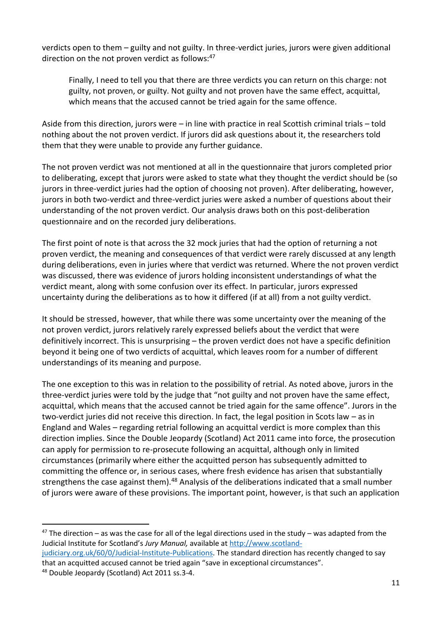verdicts open to them – guilty and not guilty. In three-verdict juries, jurors were given additional direction on the not proven verdict as follows: $47$ 

Finally, I need to tell you that there are three verdicts you can return on this charge: not guilty, not proven, or guilty. Not guilty and not proven have the same effect, acquittal, which means that the accused cannot be tried again for the same offence.

Aside from this direction, jurors were – in line with practice in real Scottish criminal trials – told nothing about the not proven verdict. If jurors did ask questions about it, the researchers told them that they were unable to provide any further guidance.

The not proven verdict was not mentioned at all in the questionnaire that jurors completed prior to deliberating, except that jurors were asked to state what they thought the verdict should be (so jurors in three-verdict juries had the option of choosing not proven). After deliberating, however, jurors in both two-verdict and three-verdict juries were asked a number of questions about their understanding of the not proven verdict. Our analysis draws both on this post-deliberation questionnaire and on the recorded jury deliberations.

The first point of note is that across the 32 mock juries that had the option of returning a not proven verdict, the meaning and consequences of that verdict were rarely discussed at any length during deliberations, even in juries where that verdict was returned. Where the not proven verdict was discussed, there was evidence of jurors holding inconsistent understandings of what the verdict meant, along with some confusion over its effect. In particular, jurors expressed uncertainty during the deliberations as to how it differed (if at all) from a not guilty verdict.

It should be stressed, however, that while there was some uncertainty over the meaning of the not proven verdict, jurors relatively rarely expressed beliefs about the verdict that were definitively incorrect. This is unsurprising – the proven verdict does not have a specific definition beyond it being one of two verdicts of acquittal, which leaves room for a number of different understandings of its meaning and purpose.

The one exception to this was in relation to the possibility of retrial. As noted above, jurors in the three-verdict juries were told by the judge that "not guilty and not proven have the same effect, acquittal, which means that the accused cannot be tried again for the same offence". Jurors in the two-verdict juries did not receive this direction. In fact, the legal position in Scots law – as in England and Wales – regarding retrial following an acquittal verdict is more complex than this direction implies. Since the Double Jeopardy (Scotland) Act 2011 came into force, the prosecution can apply for permission to re-prosecute following an acquittal, although only in limited circumstances (primarily where either the acquitted person has subsequently admitted to committing the offence or, in serious cases, where fresh evidence has arisen that substantially strengthens the case against them).<sup>48</sup> Analysis of the deliberations indicated that a small number of jurors were aware of these provisions. The important point, however, is that such an application

that an acquitted accused cannot be tried again "save in exceptional circumstances".

 $47$  The direction – as was the case for all of the legal directions used in the study – was adapted from the Judicial Institute for Scotland's *Jury Manual,* available at [http://www.scotland](http://www.scotland-judiciary.org.uk/60/0/Judicial-Institute-Publications)[judiciary.org.uk/60/0/Judicial-Institute-Publications.](http://www.scotland-judiciary.org.uk/60/0/Judicial-Institute-Publications) The standard direction has recently changed to say

<sup>48</sup> Double Jeopardy (Scotland) Act 2011 ss.3-4.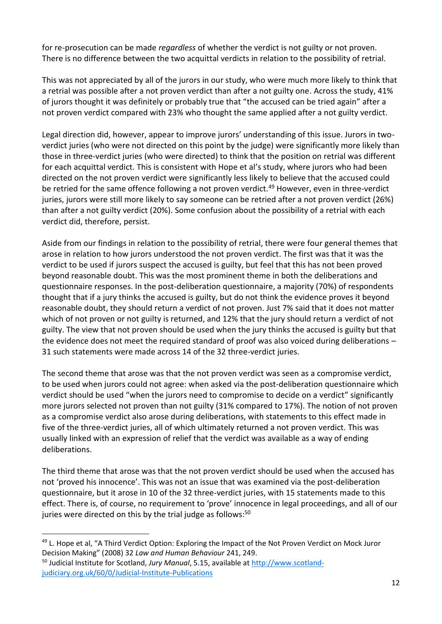for re-prosecution can be made *regardless* of whether the verdict is not guilty or not proven. There is no difference between the two acquittal verdicts in relation to the possibility of retrial.

This was not appreciated by all of the jurors in our study, who were much more likely to think that a retrial was possible after a not proven verdict than after a not guilty one. Across the study, 41% of jurors thought it was definitely or probably true that "the accused can be tried again" after a not proven verdict compared with 23% who thought the same applied after a not guilty verdict.

Legal direction did, however, appear to improve jurors' understanding of this issue. Jurors in twoverdict juries (who were not directed on this point by the judge) were significantly more likely than those in three-verdict juries (who were directed) to think that the position on retrial was different for each acquittal verdict. This is consistent with Hope et al's study, where jurors who had been directed on the not proven verdict were significantly less likely to believe that the accused could be retried for the same offence following a not proven verdict.<sup>49</sup> However, even in three-verdict juries, jurors were still more likely to say someone can be retried after a not proven verdict (26%) than after a not guilty verdict (20%). Some confusion about the possibility of a retrial with each verdict did, therefore, persist.

Aside from our findings in relation to the possibility of retrial, there were four general themes that arose in relation to how jurors understood the not proven verdict. The first was that it was the verdict to be used if jurors suspect the accused is guilty, but feel that this has not been proved beyond reasonable doubt. This was the most prominent theme in both the deliberations and questionnaire responses. In the post-deliberation questionnaire, a majority (70%) of respondents thought that if a jury thinks the accused is guilty, but do not think the evidence proves it beyond reasonable doubt, they should return a verdict of not proven. Just 7% said that it does not matter which of not proven or not guilty is returned, and 12% that the jury should return a verdict of not guilty. The view that not proven should be used when the jury thinks the accused is guilty but that the evidence does not meet the required standard of proof was also voiced during deliberations – 31 such statements were made across 14 of the 32 three-verdict juries.

The second theme that arose was that the not proven verdict was seen as a compromise verdict, to be used when jurors could not agree: when asked via the post-deliberation questionnaire which verdict should be used "when the jurors need to compromise to decide on a verdict" significantly more jurors selected not proven than not guilty (31% compared to 17%). The notion of not proven as a compromise verdict also arose during deliberations, with statements to this effect made in five of the three-verdict juries, all of which ultimately returned a not proven verdict. This was usually linked with an expression of relief that the verdict was available as a way of ending deliberations.

The third theme that arose was that the not proven verdict should be used when the accused has not 'proved his innocence'. This was not an issue that was examined via the post-deliberation questionnaire, but it arose in 10 of the 32 three-verdict juries, with 15 statements made to this effect. There is, of course, no requirement to 'prove' innocence in legal proceedings, and all of our juries were directed on this by the trial judge as follows:<sup>50</sup>

<sup>&</sup>lt;sup>49</sup> L. Hope et al, "A Third Verdict Option: Exploring the Impact of the Not Proven Verdict on Mock Juror Decision Making" (2008) 32 *Law and Human Behaviour* 241, 249.

<sup>50</sup> Judicial Institute for Scotland, *Jury Manual*, 5.15, available at [http://www.scotland](http://www.scotland-judiciary.org.uk/60/0/Judicial-Institute-Publications)[judiciary.org.uk/60/0/Judicial-Institute-Publications](http://www.scotland-judiciary.org.uk/60/0/Judicial-Institute-Publications)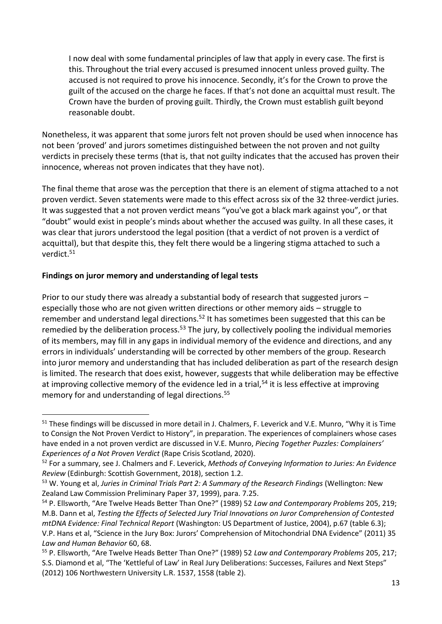I now deal with some fundamental principles of law that apply in every case. The first is this. Throughout the trial every accused is presumed innocent unless proved guilty. The accused is not required to prove his innocence. Secondly, it's for the Crown to prove the guilt of the accused on the charge he faces. If that's not done an acquittal must result. The Crown have the burden of proving guilt. Thirdly, the Crown must establish guilt beyond reasonable doubt.

Nonetheless, it was apparent that some jurors felt not proven should be used when innocence has not been 'proved' and jurors sometimes distinguished between the not proven and not guilty verdicts in precisely these terms (that is, that not guilty indicates that the accused has proven their innocence, whereas not proven indicates that they have not).

The final theme that arose was the perception that there is an element of stigma attached to a not proven verdict. Seven statements were made to this effect across six of the 32 three-verdict juries. It was suggested that a not proven verdict means "you've got a black mark against you", or that "doubt" would exist in people's minds about whether the accused was guilty. In all these cases, it was clear that jurors understood the legal position (that a verdict of not proven is a verdict of acquittal), but that despite this, they felt there would be a lingering stigma attached to such a verdict.<sup>51</sup>

### **Findings on juror memory and understanding of legal tests**

Prior to our study there was already a substantial body of research that suggested jurors – especially those who are not given written directions or other memory aids – struggle to remember and understand legal directions.<sup>52</sup> It has sometimes been suggested that this can be remedied by the deliberation process.<sup>53</sup> The jury, by collectively pooling the individual memories of its members, may fill in any gaps in individual memory of the evidence and directions, and any errors in individuals' understanding will be corrected by other members of the group. Research into juror memory and understanding that has included deliberation as part of the research design is limited. The research that does exist, however, suggests that while deliberation may be effective at improving collective memory of the evidence led in a trial,<sup>54</sup> it is less effective at improving memory for and understanding of legal directions.<sup>55</sup>

<sup>&</sup>lt;sup>51</sup> These findings will be discussed in more detail in J. Chalmers, F. Leverick and V.E. Munro, "Why it is Time to Consign the Not Proven Verdict to History", in preparation. The experiences of complainers whose cases have ended in a not proven verdict are discussed in V.E. Munro, *Piecing Together Puzzles: Complainers' Experiences of a Not Proven Verdict* (Rape Crisis Scotland, 2020).

<sup>52</sup> For a summary, see J. Chalmers and F. Leverick, *Methods of Conveying Information to Juries: An Evidence Review* (Edinburgh: Scottish Government, 2018), section 1.2.

<sup>53</sup> W. Young et al, *Juries in Criminal Trials Part 2: A Summary of the Research Findings* (Wellington: New Zealand Law Commission Preliminary Paper 37, 1999), para. 7.25.

<sup>54</sup> P. Ellsworth, "Are Twelve Heads Better Than One?" (1989) 52 *Law and Contemporary Problems* 205, 219; M.B. Dann et al, *Testing the Effects of Selected Jury Trial Innovations on Juror Comprehension of Contested mtDNA Evidence: Final Technical Report* (Washington: US Department of Justice, 2004), p.67 (table 6.3); V.P. Hans et al, "Science in the Jury Box: Jurors' Comprehension of Mitochondrial DNA Evidence" (2011) 35 *Law and Human Behavior* 60, 68.

<sup>55</sup> P. Ellsworth, "Are Twelve Heads Better Than One?" (1989) 52 *Law and Contemporary Problems* 205, 217; S.S. Diamond et al, "The 'Kettleful of Law' in Real Jury Deliberations: Successes, Failures and Next Steps" (2012) 106 Northwestern University L.R. 1537, 1558 (table 2).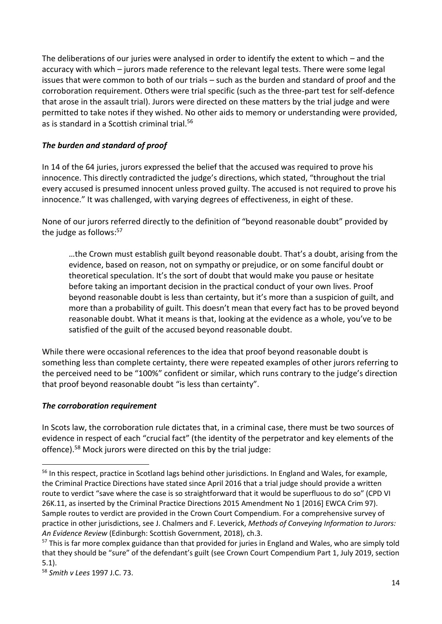The deliberations of our juries were analysed in order to identify the extent to which – and the accuracy with which – jurors made reference to the relevant legal tests. There were some legal issues that were common to both of our trials – such as the burden and standard of proof and the corroboration requirement. Others were trial specific (such as the three-part test for self-defence that arose in the assault trial). Jurors were directed on these matters by the trial judge and were permitted to take notes if they wished. No other aids to memory or understanding were provided, as is standard in a Scottish criminal trial.<sup>56</sup>

# *The burden and standard of proof*

In 14 of the 64 juries, jurors expressed the belief that the accused was required to prove his innocence. This directly contradicted the judge's directions, which stated, "throughout the trial every accused is presumed innocent unless proved guilty. The accused is not required to prove his innocence." It was challenged, with varying degrees of effectiveness, in eight of these.

None of our jurors referred directly to the definition of "beyond reasonable doubt" provided by the judge as follows: 57

…the Crown must establish guilt beyond reasonable doubt. That's a doubt, arising from the evidence, based on reason, not on sympathy or prejudice, or on some fanciful doubt or theoretical speculation. It's the sort of doubt that would make you pause or hesitate before taking an important decision in the practical conduct of your own lives. Proof beyond reasonable doubt is less than certainty, but it's more than a suspicion of guilt, and more than a probability of guilt. This doesn't mean that every fact has to be proved beyond reasonable doubt. What it means is that, looking at the evidence as a whole, you've to be satisfied of the guilt of the accused beyond reasonable doubt.

While there were occasional references to the idea that proof beyond reasonable doubt is something less than complete certainty, there were repeated examples of other jurors referring to the perceived need to be "100%" confident or similar, which runs contrary to the judge's direction that proof beyond reasonable doubt "is less than certainty".

# *The corroboration requirement*

In Scots law, the corroboration rule dictates that, in a criminal case, there must be two sources of evidence in respect of each "crucial fact" (the identity of the perpetrator and key elements of the offence).<sup>58</sup> Mock jurors were directed on this by the trial judge:

<sup>&</sup>lt;sup>56</sup> In this respect, practice in Scotland lags behind other jurisdictions. In England and Wales, for example, the Criminal Practice Directions have stated since April 2016 that a trial judge should provide a written route to verdict "save where the case is so straightforward that it would be superfluous to do so" (CPD VI 26K.11, as inserted by the Criminal Practice Directions 2015 Amendment No 1 [2016] EWCA Crim 97). Sample routes to verdict are provided in the Crown Court Compendium. For a comprehensive survey of practice in other jurisdictions, see J. Chalmers and F. Leverick, *Methods of Conveying Information to Jurors: An Evidence Review* (Edinburgh: Scottish Government, 2018), ch.3.

<sup>&</sup>lt;sup>57</sup> This is far more complex guidance than that provided for juries in England and Wales, who are simply told that they should be "sure" of the defendant's guilt (see Crown Court Compendium Part 1, July 2019, section 5.1).

<sup>58</sup> *Smith v Lees* 1997 J.C. 73.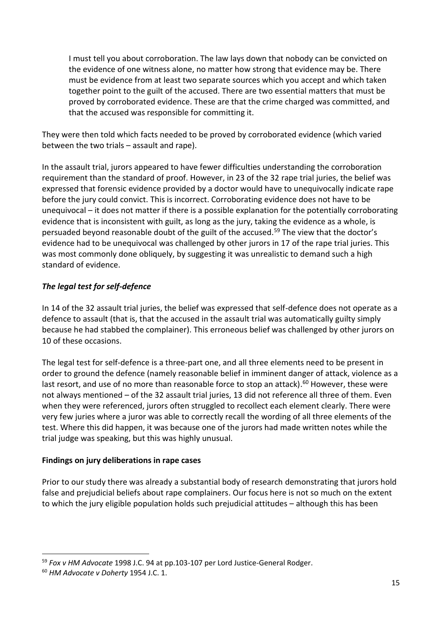I must tell you about corroboration. The law lays down that nobody can be convicted on the evidence of one witness alone, no matter how strong that evidence may be. There must be evidence from at least two separate sources which you accept and which taken together point to the guilt of the accused. There are two essential matters that must be proved by corroborated evidence. These are that the crime charged was committed, and that the accused was responsible for committing it.

They were then told which facts needed to be proved by corroborated evidence (which varied between the two trials – assault and rape).

In the assault trial, jurors appeared to have fewer difficulties understanding the corroboration requirement than the standard of proof. However, in 23 of the 32 rape trial juries, the belief was expressed that forensic evidence provided by a doctor would have to unequivocally indicate rape before the jury could convict. This is incorrect. Corroborating evidence does not have to be unequivocal – it does not matter if there is a possible explanation for the potentially corroborating evidence that is inconsistent with guilt, as long as the jury, taking the evidence as a whole, is persuaded beyond reasonable doubt of the guilt of the accused.<sup>59</sup> The view that the doctor's evidence had to be unequivocal was challenged by other jurors in 17 of the rape trial juries. This was most commonly done obliquely, by suggesting it was unrealistic to demand such a high standard of evidence.

# *The legal test for self-defence*

In 14 of the 32 assault trial juries, the belief was expressed that self-defence does not operate as a defence to assault (that is, that the accused in the assault trial was automatically guilty simply because he had stabbed the complainer). This erroneous belief was challenged by other jurors on 10 of these occasions.

The legal test for self-defence is a three-part one, and all three elements need to be present in order to ground the defence (namely reasonable belief in imminent danger of attack, violence as a last resort, and use of no more than reasonable force to stop an attack).<sup>60</sup> However, these were not always mentioned – of the 32 assault trial juries, 13 did not reference all three of them. Even when they were referenced, jurors often struggled to recollect each element clearly. There were very few juries where a juror was able to correctly recall the wording of all three elements of the test. Where this did happen, it was because one of the jurors had made written notes while the trial judge was speaking, but this was highly unusual.

### **Findings on jury deliberations in rape cases**

Prior to our study there was already a substantial body of research demonstrating that jurors hold false and prejudicial beliefs about rape complainers. Our focus here is not so much on the extent to which the jury eligible population holds such prejudicial attitudes – although this has been

<sup>59</sup> *Fox v HM Advocate* 1998 J.C. 94 at pp.103-107 per Lord Justice-General Rodger.

<sup>60</sup> *HM Advocate v Doherty* 1954 J.C. 1.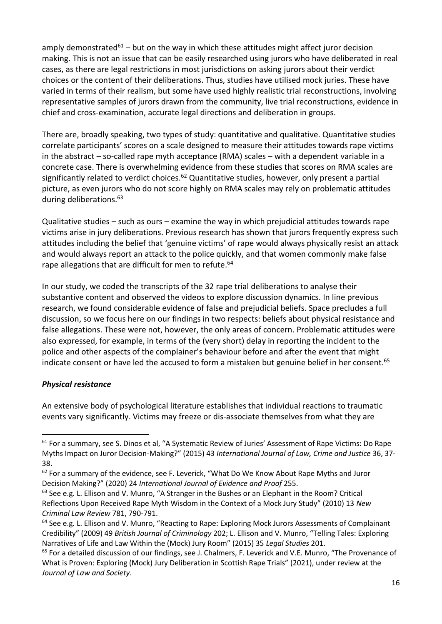amply demonstrated<sup>61</sup> – but on the way in which these attitudes might affect juror decision making. This is not an issue that can be easily researched using jurors who have deliberated in real cases, as there are legal restrictions in most jurisdictions on asking jurors about their verdict choices or the content of their deliberations. Thus, studies have utilised mock juries. These have varied in terms of their realism, but some have used highly realistic trial reconstructions, involving representative samples of jurors drawn from the community, live trial reconstructions, evidence in chief and cross-examination, accurate legal directions and deliberation in groups.

There are, broadly speaking, two types of study: quantitative and qualitative. Quantitative studies correlate participants' scores on a scale designed to measure their attitudes towards rape victims in the abstract – so-called rape myth acceptance (RMA) scales – with a dependent variable in a concrete case. There is overwhelming evidence from these studies that scores on RMA scales are significantly related to verdict choices.<sup>62</sup> Quantitative studies, however, only present a partial picture, as even jurors who do not score highly on RMA scales may rely on problematic attitudes during deliberations.<sup>63</sup>

Qualitative studies – such as ours – examine the way in which prejudicial attitudes towards rape victims arise in jury deliberations. Previous research has shown that jurors frequently express such attitudes including the belief that 'genuine victims' of rape would always physically resist an attack and would always report an attack to the police quickly, and that women commonly make false rape allegations that are difficult for men to refute.<sup>64</sup>

In our study, we coded the transcripts of the 32 rape trial deliberations to analyse their substantive content and observed the videos to explore discussion dynamics. In line previous research, we found considerable evidence of false and prejudicial beliefs. Space precludes a full discussion, so we focus here on our findings in two respects: beliefs about physical resistance and false allegations. These were not, however, the only areas of concern. Problematic attitudes were also expressed, for example, in terms of the (very short) delay in reporting the incident to the police and other aspects of the complainer's behaviour before and after the event that might indicate consent or have led the accused to form a mistaken but genuine belief in her consent. 65

### *Physical resistance*

An extensive body of psychological literature establishes that individual reactions to traumatic events vary significantly. Victims may freeze or dis-associate themselves from what they are

<sup>&</sup>lt;sup>61</sup> For a summary, see S. Dinos et al, "A Systematic Review of Juries' Assessment of Rape Victims: Do Rape Myths Impact on Juror Decision-Making?" (2015) 43 *International Journal of Law, Crime and Justice* 36, 37- 38.

<sup>&</sup>lt;sup>62</sup> For a summary of the evidence, see F. Leverick, "What Do We Know About Rape Myths and Juror Decision Making?" (2020) 24 *International Journal of Evidence and Proof* 255.

 $<sup>63</sup>$  See e.g. L. Ellison and V. Munro, "A Stranger in the Bushes or an Elephant in the Room? Critical</sup> Reflections Upon Received Rape Myth Wisdom in the Context of a Mock Jury Study" (2010) 13 *New Criminal Law Review* 781, 790-791.

<sup>&</sup>lt;sup>64</sup> See e.g. L. Ellison and V. Munro, "Reacting to Rape: Exploring Mock Jurors Assessments of Complainant Credibility" (2009) 49 *British Journal of Criminology* 202; L. Ellison and V. Munro, "Telling Tales: Exploring Narratives of Life and Law Within the (Mock) Jury Room" (2015) 35 *Legal Studies* 201.

<sup>&</sup>lt;sup>65</sup> For a detailed discussion of our findings, see J. Chalmers, F. Leverick and V.E. Munro, "The Provenance of What is Proven: Exploring (Mock) Jury Deliberation in Scottish Rape Trials" (2021), under review at the *Journal of Law and Society*.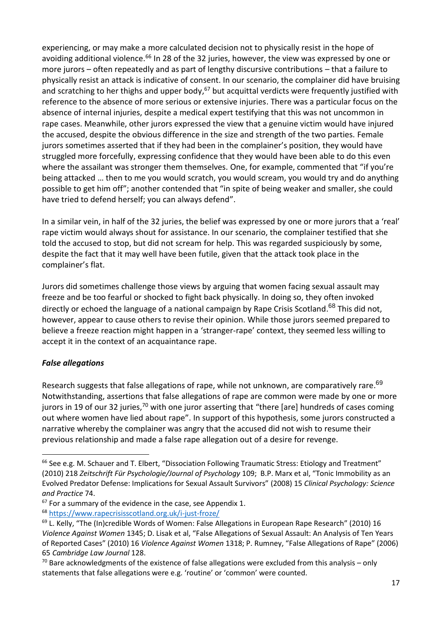experiencing, or may make a more calculated decision not to physically resist in the hope of avoiding additional violence.<sup>66</sup> In 28 of the 32 juries, however, the view was expressed by one or more jurors – often repeatedly and as part of lengthy discursive contributions – that a failure to physically resist an attack is indicative of consent. In our scenario, the complainer did have bruising and scratching to her thighs and upper body,<sup>67</sup> but acquittal verdicts were frequently justified with reference to the absence of more serious or extensive injuries. There was a particular focus on the absence of internal injuries, despite a medical expert testifying that this was not uncommon in rape cases. Meanwhile, other jurors expressed the view that a genuine victim would have injured the accused, despite the obvious difference in the size and strength of the two parties. Female jurors sometimes asserted that if they had been in the complainer's position, they would have struggled more forcefully, expressing confidence that they would have been able to do this even where the assailant was stronger them themselves. One, for example, commented that "if you're being attacked … then to me you would scratch, you would scream, you would try and do anything possible to get him off"; another contended that "in spite of being weaker and smaller, she could have tried to defend herself; you can always defend".

In a similar vein, in half of the 32 juries, the belief was expressed by one or more jurors that a 'real' rape victim would always shout for assistance. In our scenario, the complainer testified that she told the accused to stop, but did not scream for help. This was regarded suspiciously by some, despite the fact that it may well have been futile, given that the attack took place in the complainer's flat.

Jurors did sometimes challenge those views by arguing that women facing sexual assault may freeze and be too fearful or shocked to fight back physically. In doing so, they often invoked directly or echoed the language of a national campaign by Rape Crisis Scotland.<sup>68</sup> This did not, however, appear to cause others to revise their opinion. While those jurors seemed prepared to believe a freeze reaction might happen in a 'stranger-rape' context, they seemed less willing to accept it in the context of an acquaintance rape.

# *False allegations*

Research suggests that false allegations of rape, while not unknown, are comparatively rare.<sup>69</sup> Notwithstanding, assertions that false allegations of rape are common were made by one or more jurors in 19 of our 32 juries,<sup>70</sup> with one juror asserting that "there [are] hundreds of cases coming out where women have lied about rape". In support of this hypothesis, some jurors constructed a narrative whereby the complainer was angry that the accused did not wish to resume their previous relationship and made a false rape allegation out of a desire for revenge.

 $66$  See e.g. M. Schauer and T. Elbert, "Dissociation Following Traumatic Stress: Etiology and Treatment" (2010) 218 *Zeitschrift Für Psychologie/Journal of Psychology* 109; B.P. Marx et al, "Tonic Immobility as an Evolved Predator Defense: Implications for Sexual Assault Survivors" (2008) 15 *Clinical Psychology: Science and Practice* 74.

 $67$  For a summary of the evidence in the case, see Appendix 1.

<sup>68</sup> <https://www.rapecrisisscotland.org.uk/i-just-froze/>

<sup>&</sup>lt;sup>69</sup> L. Kelly, "The (In)credible Words of Women: False Allegations in European Rape Research" (2010) 16 *Violence Against Women* 1345; D. Lisak et al, "False Allegations of Sexual Assault: An Analysis of Ten Years of Reported Cases" (2010) 16 *Violence Against Women* 1318; P. Rumney, "False Allegations of Rape" (2006) 65 *Cambridge Law Journal* 128.

 $70$  Bare acknowledgments of the existence of false allegations were excluded from this analysis – only statements that false allegations were e.g. 'routine' or 'common' were counted.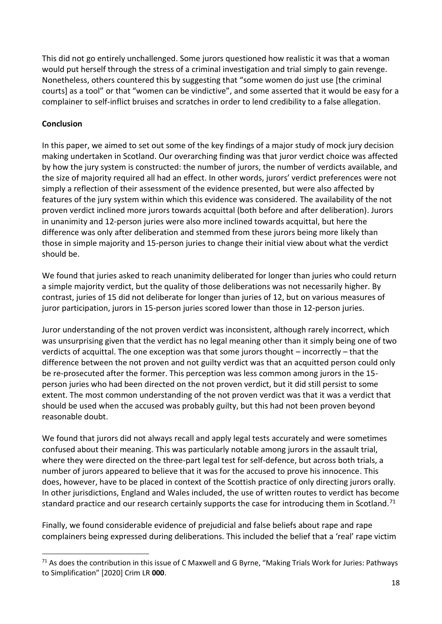This did not go entirely unchallenged. Some jurors questioned how realistic it was that a woman would put herself through the stress of a criminal investigation and trial simply to gain revenge. Nonetheless, others countered this by suggesting that "some women do just use [the criminal courts] as a tool" or that "women can be vindictive", and some asserted that it would be easy for a complainer to self-inflict bruises and scratches in order to lend credibility to a false allegation.

### **Conclusion**

In this paper, we aimed to set out some of the key findings of a major study of mock jury decision making undertaken in Scotland. Our overarching finding was that juror verdict choice was affected by how the jury system is constructed: the number of jurors, the number of verdicts available, and the size of majority required all had an effect. In other words, jurors' verdict preferences were not simply a reflection of their assessment of the evidence presented, but were also affected by features of the jury system within which this evidence was considered. The availability of the not proven verdict inclined more jurors towards acquittal (both before and after deliberation). Jurors in unanimity and 12-person juries were also more inclined towards acquittal, but here the difference was only after deliberation and stemmed from these jurors being more likely than those in simple majority and 15-person juries to change their initial view about what the verdict should be.

We found that juries asked to reach unanimity deliberated for longer than juries who could return a simple majority verdict, but the quality of those deliberations was not necessarily higher. By contrast, juries of 15 did not deliberate for longer than juries of 12, but on various measures of juror participation, jurors in 15-person juries scored lower than those in 12-person juries.

Juror understanding of the not proven verdict was inconsistent, although rarely incorrect, which was unsurprising given that the verdict has no legal meaning other than it simply being one of two verdicts of acquittal. The one exception was that some jurors thought – incorrectly – that the difference between the not proven and not guilty verdict was that an acquitted person could only be re-prosecuted after the former. This perception was less common among jurors in the 15 person juries who had been directed on the not proven verdict, but it did still persist to some extent. The most common understanding of the not proven verdict was that it was a verdict that should be used when the accused was probably guilty, but this had not been proven beyond reasonable doubt.

We found that jurors did not always recall and apply legal tests accurately and were sometimes confused about their meaning. This was particularly notable among jurors in the assault trial, where they were directed on the three-part legal test for self-defence, but across both trials, a number of jurors appeared to believe that it was for the accused to prove his innocence. This does, however, have to be placed in context of the Scottish practice of only directing jurors orally. In other jurisdictions, England and Wales included, the use of written routes to verdict has become standard practice and our research certainly supports the case for introducing them in Scotland.<sup>71</sup>

Finally, we found considerable evidence of prejudicial and false beliefs about rape and rape complainers being expressed during deliberations. This included the belief that a 'real' rape victim

<sup>&</sup>lt;sup>71</sup> As does the contribution in this issue of C Maxwell and G Byrne, "Making Trials Work for Juries: Pathways to Simplification" [2020] Crim LR **000**.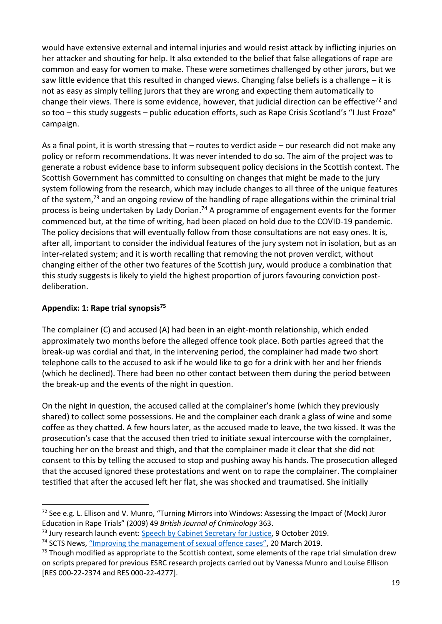would have extensive external and internal injuries and would resist attack by inflicting injuries on her attacker and shouting for help. It also extended to the belief that false allegations of rape are common and easy for women to make. These were sometimes challenged by other jurors, but we saw little evidence that this resulted in changed views. Changing false beliefs is a challenge – it is not as easy as simply telling jurors that they are wrong and expecting them automatically to change their views. There is some evidence, however, that judicial direction can be effective<sup>72</sup> and so too – this study suggests – public education efforts, such as Rape Crisis Scotland's "I Just Froze" campaign.

As a final point, it is worth stressing that – routes to verdict aside – our research did not make any policy or reform recommendations. It was never intended to do so. The aim of the project was to generate a robust evidence base to inform subsequent policy decisions in the Scottish context. The Scottish Government has committed to consulting on changes that might be made to the jury system following from the research, which may include changes to all three of the unique features of the system,<sup>73</sup> and an ongoing review of the handling of rape allegations within the criminal trial process is being undertaken by Lady Dorian.<sup>74</sup> A programme of engagement events for the former commenced but, at the time of writing, had been placed on hold due to the COVID-19 pandemic. The policy decisions that will eventually follow from those consultations are not easy ones. It is, after all, important to consider the individual features of the jury system not in isolation, but as an inter-related system; and it is worth recalling that removing the not proven verdict, without changing either of the other two features of the Scottish jury, would produce a combination that this study suggests is likely to yield the highest proportion of jurors favouring conviction postdeliberation.

## **Appendix: 1: Rape trial synopsis<sup>75</sup>**

The complainer (C) and accused (A) had been in an eight-month relationship, which ended approximately two months before the alleged offence took place. Both parties agreed that the break-up was cordial and that, in the intervening period, the complainer had made two short telephone calls to the accused to ask if he would like to go for a drink with her and her friends (which he declined). There had been no other contact between them during the period between the break-up and the events of the night in question.

On the night in question, the accused called at the complainer's home (which they previously shared) to collect some possessions. He and the complainer each drank a glass of wine and some coffee as they chatted. A few hours later, as the accused made to leave, the two kissed. It was the prosecution's case that the accused then tried to initiate sexual intercourse with the complainer, touching her on the breast and thigh, and that the complainer made it clear that she did not consent to this by telling the accused to stop and pushing away his hands. The prosecution alleged that the accused ignored these protestations and went on to rape the complainer. The complainer testified that after the accused left her flat, she was shocked and traumatised. She initially

 $72$  See e.g. L. Ellison and V. Munro, "Turning Mirrors into Windows: Assessing the Impact of (Mock) Juror Education in Rape Trials" (2009) 49 *British Journal of Criminology* 363.

<sup>&</sup>lt;sup>73</sup> Jury research launch event: [Speech by Cabinet Secretary for Justice,](https://www.gov.scot/publications/jury-research-launch-event/) 9 October 2019.

<sup>&</sup>lt;sup>74</sup> SCTS News, ["Improving the management of sexual offence cases"](https://scotcourts.gov.uk/about-the-scottish-court-service/scs-news/2019/03/20/improving-the-management-of-sexual-offence-cases), 20 March 2019.

 $75$  Though modified as appropriate to the Scottish context, some elements of the rape trial simulation drew on scripts prepared for previous ESRC research projects carried out by Vanessa Munro and Louise Ellison [RES 000-22-2374 and RES 000-22-4277].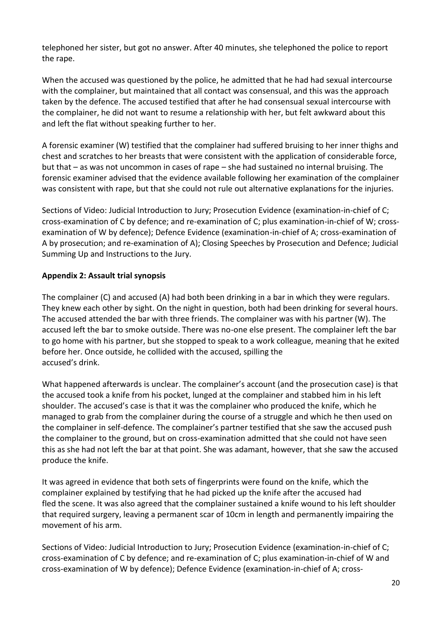telephoned her sister, but got no answer. After 40 minutes, she telephoned the police to report the rape.

When the accused was questioned by the police, he admitted that he had had sexual intercourse with the complainer, but maintained that all contact was consensual, and this was the approach taken by the defence. The accused testified that after he had consensual sexual intercourse with the complainer, he did not want to resume a relationship with her, but felt awkward about this and left the flat without speaking further to her.

A forensic examiner (W) testified that the complainer had suffered bruising to her inner thighs and chest and scratches to her breasts that were consistent with the application of considerable force, but that – as was not uncommon in cases of rape – she had sustained no internal bruising. The forensic examiner advised that the evidence available following her examination of the complainer was consistent with rape, but that she could not rule out alternative explanations for the injuries.

Sections of Video: Judicial Introduction to Jury; Prosecution Evidence (examination-in-chief of C; cross-examination of C by defence; and re-examination of C; plus examination-in-chief of W; crossexamination of W by defence); Defence Evidence (examination-in-chief of A; cross-examination of A by prosecution; and re-examination of A); Closing Speeches by Prosecution and Defence; Judicial Summing Up and Instructions to the Jury.

# **Appendix 2: Assault trial synopsis**

The complainer (C) and accused (A) had both been drinking in a bar in which they were regulars. They knew each other by sight. On the night in question, both had been drinking for several hours. The accused attended the bar with three friends. The complainer was with his partner (W). The accused left the bar to smoke outside. There was no-one else present. The complainer left the bar to go home with his partner, but she stopped to speak to a work colleague, meaning that he exited before her. Once outside, he collided with the accused, spilling the accused's drink.

What happened afterwards is unclear. The complainer's account (and the prosecution case) is that the accused took a knife from his pocket, lunged at the complainer and stabbed him in his left shoulder. The accused's case is that it was the complainer who produced the knife, which he managed to grab from the complainer during the course of a struggle and which he then used on the complainer in self-defence. The complainer's partner testified that she saw the accused push the complainer to the ground, but on cross-examination admitted that she could not have seen this as she had not left the bar at that point. She was adamant, however, that she saw the accused produce the knife.

It was agreed in evidence that both sets of fingerprints were found on the knife, which the complainer explained by testifying that he had picked up the knife after the accused had fled the scene. It was also agreed that the complainer sustained a knife wound to his left shoulder that required surgery, leaving a permanent scar of 10cm in length and permanently impairing the movement of his arm.

Sections of Video: Judicial Introduction to Jury; Prosecution Evidence (examination-in-chief of C; cross-examination of C by defence; and re-examination of C; plus examination-in-chief of W and cross-examination of W by defence); Defence Evidence (examination-in-chief of A; cross